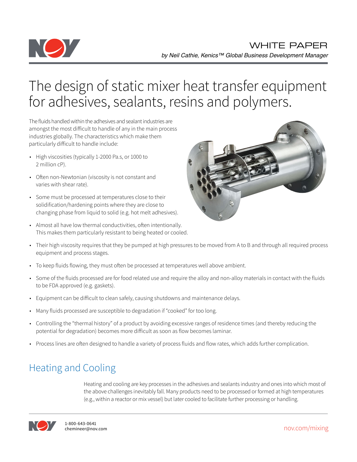

# The design of static mixer heat transfer equipment for adhesives, sealants, resins and polymers.

The fluids handled within the adhesives and sealant industries are amongst the most difficult to handle of any in the main process industries globally. The characteristics which make them particularly difficult to handle include:

- High viscosities (typically 1-2000 Pa.s, or 1000 to 2 million cP).
- Often non-Newtonian (viscosity is not constant and varies with shear rate).
- Some must be processed at temperatures close to their solidification/hardening points where they are close to changing phase from liquid to solid (e.g. hot melt adhesives).
- Almost all have low thermal conductivities, often intentionally. This makes them particularly resistant to being heated or cooled.



- Their high viscosity requires that they be pumped at high pressures to be moved from A to B and through all required process equipment and process stages.
- To keep fluids flowing, they must often be processed at temperatures well above ambient.
- Some of the fluids processed are for food related use and require the alloy and non-alloy materials in contact with the fluids to be FDA approved (e.g. gaskets).
- Equipment can be difficult to clean safely, causing shutdowns and maintenance delays.
- Many fluids processed are susceptible to degradation if "cooked" for too long.
- Controlling the "thermal history" of a product by avoiding excessive ranges of residence times (and thereby reducing the potential for degradation) becomes more difficult as soon as flow becomes laminar.
- Process lines are often designed to handle a variety of process fluids and flow rates, which adds further complication.

# Heating and Cooling

Heating and cooling are key processes in the adhesives and sealants industry and ones into which most of the above challenges inevitably fall. Many products need to be processed or formed at high temperatures (e.g., within a reactor or mix vessel) but later cooled to facilitate further processing or handling.



nov.com/mixing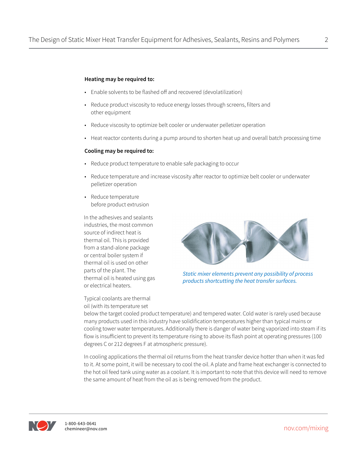#### **Heating may be required to:**

- Enable solvents to be flashed off and recovered (devolatilization)
- Reduce product viscosity to reduce energy losses through screens, filters and other equipment
- Reduce viscosity to optimize belt cooler or underwater pelletizer operation
- Heat reactor contents during a pump around to shorten heat up and overall batch processing time

#### **Cooling may be required to:**

- Reduce product temperature to enable safe packaging to occur
- Reduce temperature and increase viscosity after reactor to optimize belt cooler or underwater pelletizer operation
- Reduce temperature before product extrusion

In the adhesives and sealants industries, the most common source of indirect heat is thermal oil. This is provided from a stand-alone package or central boiler system if thermal oil is used on other parts of the plant. The thermal oil is heated using gas or electrical heaters.

*Static mixer elements prevent any possibility of process products shortcutting the heat transfer surfaces.*

Typical coolants are thermal oil (with its temperature set

below the target cooled product temperature) and tempered water. Cold water is rarely used because many products used in this industry have solidification temperatures higher than typical mains or cooling tower water temperatures. Additionally there is danger of water being vaporized into steam if its flow is insufficient to prevent its temperature rising to above its flash point at operating pressures (100 degrees C or 212 degrees F at atmospheric pressure).

In cooling applications the thermal oil returns from the heat transfer device hotter than when it was fed to it. At some point, it will be necessary to cool the oil. A plate and frame heat exchanger is connected to the hot oil feed tank using water as a coolant. It is important to note that this device will need to remove the same amount of heat from the oil as is being removed from the product.



nov.com/mixing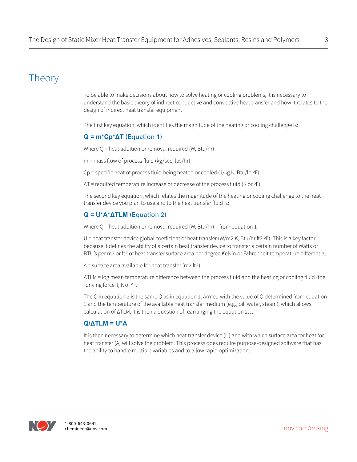### Theory

To be able to make decisions about how to solve heating or cooling problems, it is necessary to understand the basic theory of indirect conductive and convective heat transfer and how it relates to the design of indirect heat transfer equipment.

The first key equation, which identifies the magnitude of the heating or cooling challenge is:

#### **Q = m\*Cp\*ΔT** (Equation 1)

Where  $Q$  = heat addition or removal required (W, Btu/hr)

m = mass flow of process fluid (kg/sec, lbs/hr)

Cp = specific heat of process fluid being heated or cooled (J/kg K, Btu/lb ºF)

 $\Delta T$  = required temperature increase or decrease of the process fluid (K or  $\circ$ F)

The second key equation, which relates the magnitude of the heating or cooling challenge to the heat transfer device you plan to use and to the heat transfer fluid is:

#### **Q = U\*A\*ΔTLM** (Equation 2)

Where  $Q$  = heat addition or removal required (W, Btu/hr) – from equation 1

U = heat transfer device global coefficient of heat transfer (W/m2 K, Btu/hr ft2  $\circ$ F). This is a key factor because it defines the ability of a certain heat transfer device to transfer a certain number of Watts or BTU's per m2 or ft2 of heat transfer surface area per degree Kelvin or Fahrenheit temperature differential.

 $A =$  surface area available for heat transfer (m2,ft2)

ΔTLM = log mean temperature difference between the process fluid and the heating or cooling fluid (the "driving force"), K or ºF.

The Q in equation 2 is the same Q as in equation 1. Armed with the value of Q determined from equation 1 and the temperature of the available heat transfer medium (e.g., oil, water, steam), which allows calculation of ΔTLM, it is then a question of rearranging the equation 2…

#### **Q/ΔTLM = U\*A**

It is then necessary to determine which heat transfer device (U) and with which surface area for heat for heat transfer (A) will solve the problem. This process does require purpose-designed software that has the ability to handle multiple variables and to allow rapid optimization.

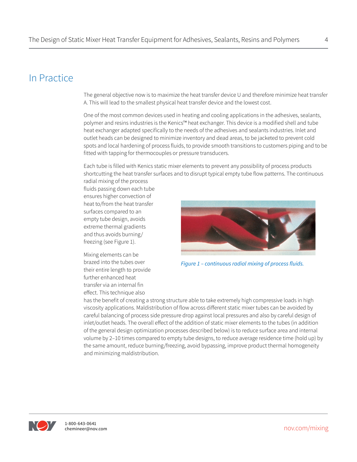### In Practice

The general objective now is to maximize the heat transfer device U and therefore minimize heat transfer A. This will lead to the smallest physical heat transfer device and the lowest cost.

One of the most common devices used in heating and cooling applications in the adhesives, sealants, polymer and resins industries is the Kenics™ heat exchanger. This device is a modified shell and tube heat exchanger adapted specifically to the needs of the adhesives and sealants industries. Inlet and outlet heads can be designed to minimize inventory and dead areas, to be jacketed to prevent cold spots and local hardening of process fluids, to provide smooth transitions to customers piping and to be fitted with tapping for thermocouples or pressure transducers.

Each tube is filled with Kenics static mixer elements to prevent any possibility of process products shortcutting the heat transfer surfaces and to disrupt typical empty tube flow patterns. The continuous radial mixing of the process

fluids passing down each tube ensures higher convection of heat to/from the heat transfer surfaces compared to an empty tube design, avoids extreme thermal gradients and thus avoids burning/ freezing (see Figure 1).

Mixing elements can be brazed into the tubes over their entire length to provide further enhanced heat transfer via an internal fin effect. This technique also



has the benefit of creating a strong structure able to take extremely high compressive loads in high viscosity applications. Maldistribution of flow across different static mixer tubes can be avoided by careful balancing of process side pressure drop against local pressures and also by careful design of inlet/outlet heads. The overall effect of the addition of static mixer elements to the tubes (in addition of the general design optimization processes described below) is to reduce surface area and internal volume by 2–10 times compared to empty tube designs, to reduce average residence time (hold up) by the same amount, reduce burning/freezing, avoid bypassing, improve product thermal homogeneity and minimizing maldistribution.

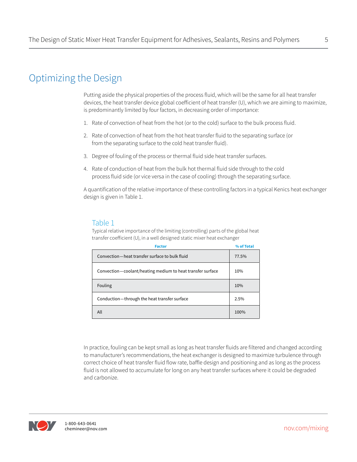### Optimizing the Design

Putting aside the physical properties of the process fluid, which will be the same for all heat transfer devices, the heat transfer device global coefficient of heat transfer (U), which we are aiming to maximize, is predominantly limited by four factors, in decreasing order of importance:

- 1. Rate of convection of heat from the hot (or to the cold) surface to the bulk process fluid.
- 2. Rate of convection of heat from the hot heat transfer fluid to the separating surface (or from the separating surface to the cold heat transfer fluid).
- 3. Degree of fouling of the process or thermal fluid side heat transfer surfaces.
- 4. Rate of conduction of heat from the bulk hot thermal fluid side through to the cold process fluid side (or vice versa in the case of cooling) through the separating surface.

A quantification of the relative importance of these controlling factors in a typical Kenics heat exchanger design is given in Table 1.

#### Table 1

Typical relative importance of the limiting (controlling) parts of the global heat transfer coefficient (U), in a well designed static mixer heat exchanger

| <b>Factor</b>                                              | % of Total |
|------------------------------------------------------------|------------|
| Convection-heat transfer surface to bulk fluid             | 77.5%      |
| Convection-coolant/heating medium to heat transfer surface | 10%        |
| Fouling                                                    | 10%        |
| Conduction-through the heat transfer surface               | 2.5%       |
| All                                                        | 100%       |

In practice, fouling can be kept small as long as heat transfer fluids are filtered and changed according to manufacturer's recommendations, the heat exchanger is designed to maximize turbulence through correct choice of heat transfer fluid flow rate, baffle design and positioning and as long as the process fluid is not allowed to accumulate for long on any heat transfer surfaces where it could be degraded and carbonize.



nov.com/mixing